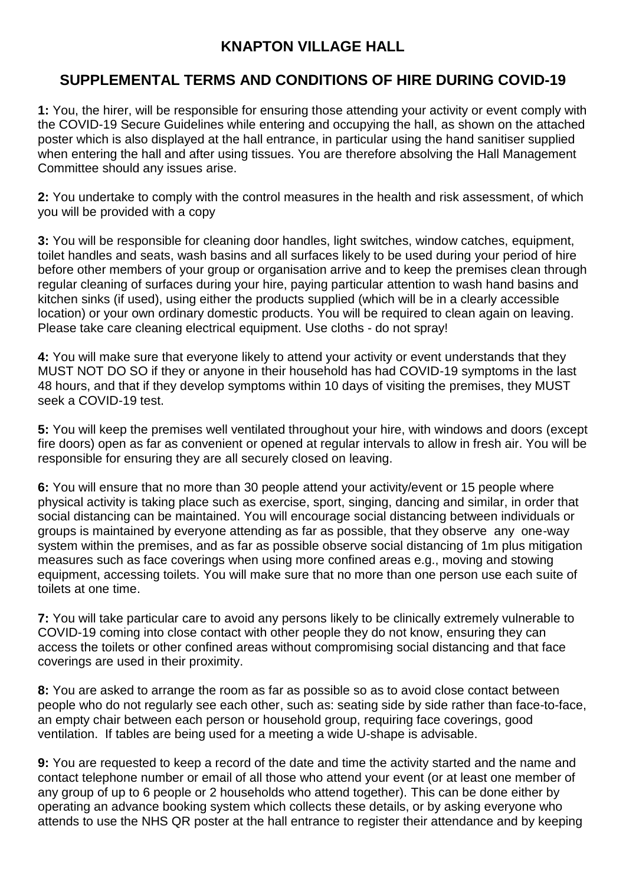## **KNAPTON VILLAGE HALL**

## **SUPPLEMENTAL TERMS AND CONDITIONS OF HIRE DURING COVID-19**

**1:** You, the hirer, will be responsible for ensuring those attending your activity or event comply with the COVID-19 Secure Guidelines while entering and occupying the hall, as shown on the attached poster which is also displayed at the hall entrance, in particular using the hand sanitiser supplied when entering the hall and after using tissues. You are therefore absolving the Hall Management Committee should any issues arise.

**2:** You undertake to comply with the control measures in the health and risk assessment, of which you will be provided with a copy

**3:** You will be responsible for cleaning door handles, light switches, window catches, equipment, toilet handles and seats, wash basins and all surfaces likely to be used during your period of hire before other members of your group or organisation arrive and to keep the premises clean through regular cleaning of surfaces during your hire, paying particular attention to wash hand basins and kitchen sinks (if used), using either the products supplied (which will be in a clearly accessible location) or your own ordinary domestic products. You will be required to clean again on leaving. Please take care cleaning electrical equipment. Use cloths - do not spray!

**4:** You will make sure that everyone likely to attend your activity or event understands that they MUST NOT DO SO if they or anyone in their household has had COVID-19 symptoms in the last 48 hours, and that if they develop symptoms within 10 days of visiting the premises, they MUST seek a COVID-19 test.

**5:** You will keep the premises well ventilated throughout your hire, with windows and doors (except fire doors) open as far as convenient or opened at regular intervals to allow in fresh air. You will be responsible for ensuring they are all securely closed on leaving.

**6:** You will ensure that no more than 30 people attend your activity/event or 15 people where physical activity is taking place such as exercise, sport, singing, dancing and similar, in order that social distancing can be maintained. You will encourage social distancing between individuals or groups is maintained by everyone attending as far as possible, that they observe any one-way system within the premises, and as far as possible observe social distancing of 1m plus mitigation measures such as face coverings when using more confined areas e.g., moving and stowing equipment, accessing toilets. You will make sure that no more than one person use each suite of toilets at one time.

**7:** You will take particular care to avoid any persons likely to be clinically extremely vulnerable to COVID-19 coming into close contact with other people they do not know, ensuring they can access the toilets or other confined areas without compromising social distancing and that face coverings are used in their proximity.

**8:** You are asked to arrange the room as far as possible so as to avoid close contact between people who do not regularly see each other, such as: seating side by side rather than face-to-face, an empty chair between each person or household group, requiring face coverings, good ventilation. If tables are being used for a meeting a wide U-shape is advisable.

**9:** You are requested to keep a record of the date and time the activity started and the name and contact telephone number or email of all those who attend your event (or at least one member of any group of up to 6 people or 2 households who attend together). This can be done either by operating an advance booking system which collects these details, or by asking everyone who attends to use the NHS QR poster at the hall entrance to register their attendance and by keeping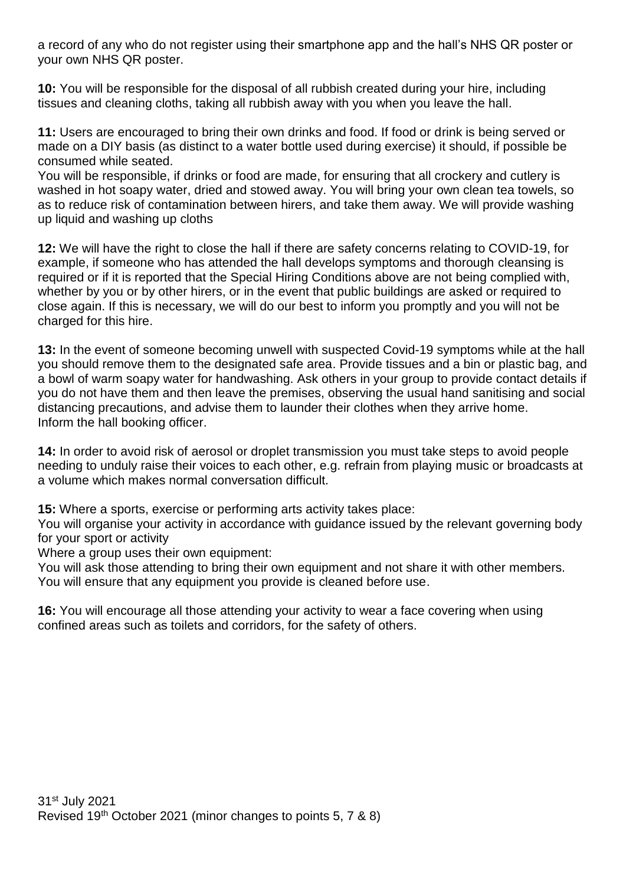a record of any who do not register using their smartphone app and the hall's NHS QR poster or your own NHS QR poster.

**10:** You will be responsible for the disposal of all rubbish created during your hire, including tissues and cleaning cloths, taking all rubbish away with you when you leave the hall.

**11:** Users are encouraged to bring their own drinks and food. If food or drink is being served or made on a DIY basis (as distinct to a water bottle used during exercise) it should, if possible be consumed while seated.

You will be responsible, if drinks or food are made, for ensuring that all crockery and cutlery is washed in hot soapy water, dried and stowed away. You will bring your own clean tea towels, so as to reduce risk of contamination between hirers, and take them away. We will provide washing up liquid and washing up cloths

12: We will have the right to close the hall if there are safety concerns relating to COVID-19, for example, if someone who has attended the hall develops symptoms and thorough cleansing is required or if it is reported that the Special Hiring Conditions above are not being complied with, whether by you or by other hirers, or in the event that public buildings are asked or required to close again. If this is necessary, we will do our best to inform you promptly and you will not be charged for this hire.

**13:** In the event of someone becoming unwell with suspected Covid-19 symptoms while at the hall you should remove them to the designated safe area. Provide tissues and a bin or plastic bag, and a bowl of warm soapy water for handwashing. Ask others in your group to provide contact details if you do not have them and then leave the premises, observing the usual hand sanitising and social distancing precautions, and advise them to launder their clothes when they arrive home. Inform the hall booking officer.

**14:** In order to avoid risk of aerosol or droplet transmission you must take steps to avoid people needing to unduly raise their voices to each other, e.g. refrain from playing music or broadcasts at a volume which makes normal conversation difficult.

**15:** Where a sports, exercise or performing arts activity takes place:

You will organise your activity in accordance with guidance issued by the relevant governing body for your sport or activity

Where a group uses their own equipment:

You will ask those attending to bring their own equipment and not share it with other members. You will ensure that any equipment you provide is cleaned before use.

**16:** You will encourage all those attending your activity to wear a face covering when using confined areas such as toilets and corridors, for the safety of others.